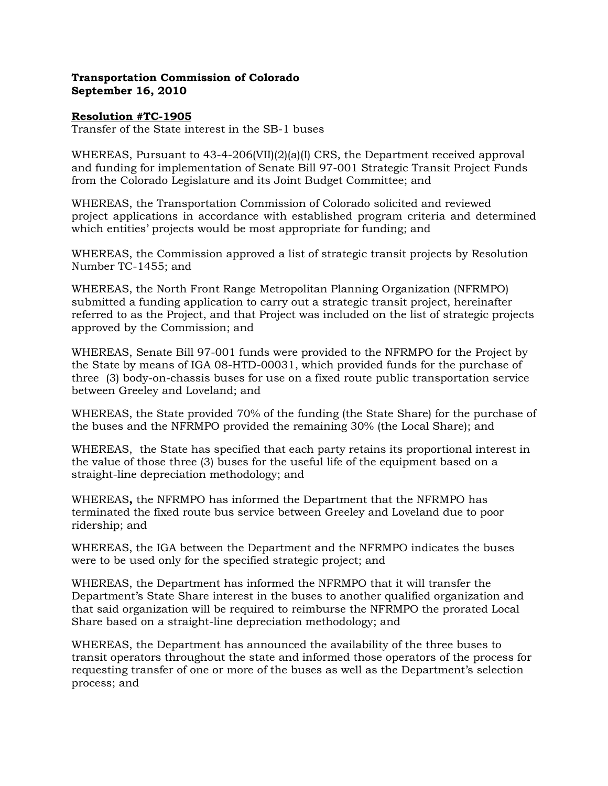## Transportation Commission of Colorado September 16, 2010

## Resolution #TC-1905

Transfer of the State interest in the SB-1 buses

WHEREAS, Pursuant to 43-4-206(VII)(2)(a)(I) CRS, the Department received approval and funding for implementation of Senate Bill 97-001 Strategic Transit Project Funds from the Colorado Legislature and its Joint Budget Committee; and

WHEREAS, the Transportation Commission of Colorado solicited and reviewed project applications in accordance with established program criteria and determined which entities' projects would be most appropriate for funding; and

WHEREAS, the Commission approved a list of strategic transit projects by Resolution Number TC-1455; and

WHEREAS, the North Front Range Metropolitan Planning Organization (NFRMPO) submitted a funding application to carry out a strategic transit project, hereinafter referred to as the Project, and that Project was included on the list of strategic projects approved by the Commission; and

WHEREAS, Senate Bill 97-001 funds were provided to the NFRMPO for the Project by the State by means of IGA 08-HTD-00031, which provided funds for the purchase of three (3) body-on-chassis buses for use on a fixed route public transportation service between Greeley and Loveland; and

WHEREAS, the State provided 70% of the funding (the State Share) for the purchase of the buses and the NFRMPO provided the remaining 30% (the Local Share); and

WHEREAS, the State has specified that each party retains its proportional interest in the value of those three (3) buses for the useful life of the equipment based on a straight-line depreciation methodology; and

WHEREAS, the NFRMPO has informed the Department that the NFRMPO has terminated the fixed route bus service between Greeley and Loveland due to poor ridership; and

WHEREAS, the IGA between the Department and the NFRMPO indicates the buses were to be used only for the specified strategic project; and

WHEREAS, the Department has informed the NFRMPO that it will transfer the Department's State Share interest in the buses to another qualified organization and that said organization will be required to reimburse the NFRMPO the prorated Local Share based on a straight-line depreciation methodology; and

WHEREAS, the Department has announced the availability of the three buses to transit operators throughout the state and informed those operators of the process for requesting transfer of one or more of the buses as well as the Department's selection process; and